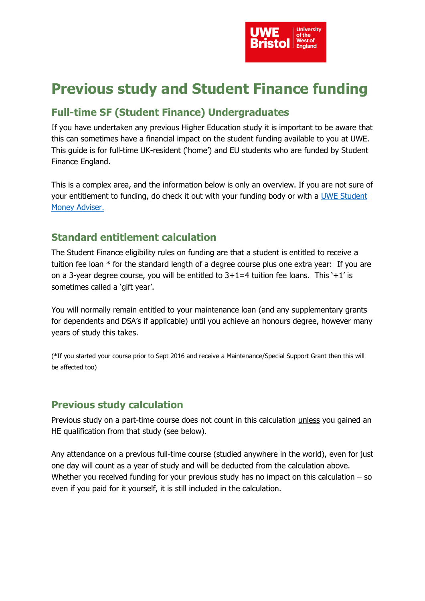

# **Previous study and Student Finance funding**

## **Full-time SF (Student Finance) Undergraduates**

If you have undertaken any previous Higher Education study it is important to be aware that this can sometimes have a financial impact on the student funding available to you at UWE. This guide is for full-time UK-resident ('home') and EU students who are funded by Student Finance England.

This is a complex area, and the information below is only an overview. If you are not sure of your entitlement to funding, do check it out with your funding body or with a [UWE Student](https://www.uwe.ac.uk/life/money-and-finance/student-money-service)  [Money Adviser.](https://www.uwe.ac.uk/life/money-and-finance/student-money-service)

## **Standard entitlement calculation**

The Student Finance eligibility rules on funding are that a student is entitled to receive a tuition fee loan \* for the standard length of a degree course plus one extra year: If you are on a 3-year degree course, you will be entitled to  $3+1=4$  tuition fee loans. This '+1' is sometimes called a 'gift year'.

You will normally remain entitled to your maintenance loan (and any supplementary grants for dependents and DSA's if applicable) until you achieve an honours degree, however many years of study this takes.

(\*If you started your course prior to Sept 2016 and receive a Maintenance/Special Support Grant then this will be affected too)

## **Previous study calculation**

Previous study on a part-time course does not count in this calculation unless you gained an HE qualification from that study (see below).

Any attendance on a previous full-time course (studied anywhere in the world), even for just one day will count as a year of study and will be deducted from the calculation above. Whether you received funding for your previous study has no impact on this calculation – so even if you paid for it yourself, it is still included in the calculation.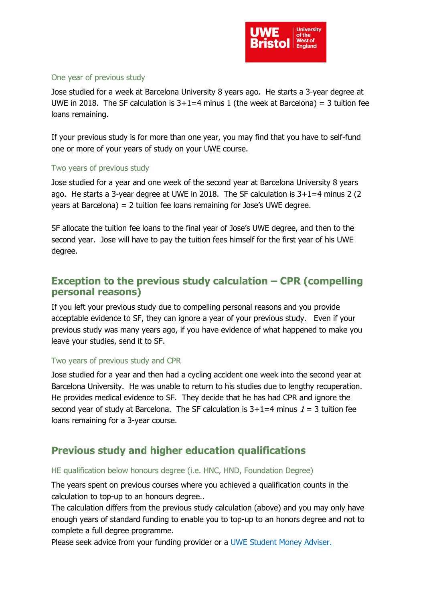

#### One year of previous study

Jose studied for a week at Barcelona University 8 years ago. He starts a 3-year degree at UWE in 2018. The SF calculation is  $3+1=4$  minus 1 (the week at Barcelona) = 3 tuition fee loans remaining.

If your previous study is for more than one year, you may find that you have to self-fund one or more of your years of study on your UWE course.

#### Two years of previous study

Jose studied for a year and one week of the second year at Barcelona University 8 years ago. He starts a 3-year degree at UWE in 2018. The SF calculation is  $3+1=4$  minus 2 (2) years at Barcelona) = 2 tuition fee loans remaining for Jose's UWE degree.

SF allocate the tuition fee loans to the final year of Jose's UWE degree, and then to the second year. Jose will have to pay the tuition fees himself for the first year of his UWE degree.

### **Exception to the previous study calculation – CPR (compelling personal reasons)**

If you left your previous study due to compelling personal reasons and you provide acceptable evidence to SF, they can ignore a year of your previous study. Even if your previous study was many years ago, if you have evidence of what happened to make you leave your studies, send it to SF.

#### Two years of previous study and CPR

Jose studied for a year and then had a cycling accident one week into the second year at Barcelona University. He was unable to return to his studies due to lengthy recuperation. He provides medical evidence to SF. They decide that he has had CPR and ignore the second year of study at Barcelona. The SF calculation is  $3+1=4$  minus  $1=3$  tuition fee loans remaining for a 3-year course.

## **Previous study and higher education qualifications**

#### HE qualification below honours degree (i.e. HNC, HND, Foundation Degree)

The years spent on previous courses where you achieved a qualification counts in the calculation to top-up to an honours degree..

The calculation differs from the previous study calculation (above) and you may only have enough years of standard funding to enable you to top-up to an honors degree and not to complete a full degree programme.

Please seek advice from your funding provider or a [UWE Student Money Adviser.](https://www.uwe.ac.uk/life/money-and-finance/student-money-service)